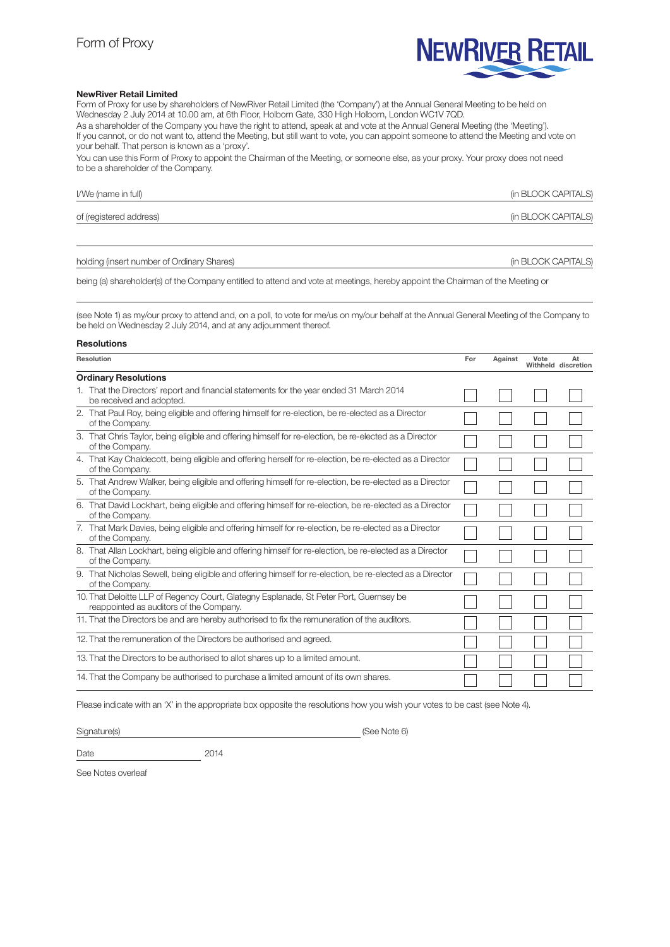

### NewRiver Retail Limited

Form of Proxy for use by shareholders of NewRiver Retail Limited (the 'Company') at the Annual General Meeting to be held on Wednesday 2 July 2014 at 10.00 am, at 6th Floor, Holborn Gate, 330 High Holborn, London WC1V 7QD. As a shareholder of the Company you have the right to attend, speak at and vote at the Annual General Meeting (the 'Meeting').

If you cannot, or do not want to, attend the Meeting, but still want to vote, you can appoint someone to attend the Meeting and vote on your behalf. That person is known as a 'proxy'.

You can use this Form of Proxy to appoint the Chairman of the Meeting, or someone else, as your proxy. Your proxy does not need to be a shareholder of the Company.

| I/We (name in full)     | (in BLOCK CAPITALS) |
|-------------------------|---------------------|
| of (registered address) | (in BLOCK CAPITALS) |

holding (insert number of Ordinary Shares) and the state of the state of Ordinary Shares) and the state of the state of  $\alpha$ PITALS)

being (a) shareholder(s) of the Company entitled to attend and vote at meetings, hereby appoint the Chairman of the Meeting or

(see Note 1) as my/our proxy to attend and, on a poll, to vote for me/us on my/our behalf at the Annual General Meeting of the Company to be held on Wednesday 2 July 2014, and at any adjournment thereof.

#### Resolutions

| Resolution                  |                                                                                                                                   | For | Against | Vote | At<br>Withheld discretion |  |
|-----------------------------|-----------------------------------------------------------------------------------------------------------------------------------|-----|---------|------|---------------------------|--|
| <b>Ordinary Resolutions</b> |                                                                                                                                   |     |         |      |                           |  |
|                             | 1. That the Directors' report and financial statements for the year ended 31 March 2014<br>be received and adopted.               |     |         |      |                           |  |
|                             | 2. That Paul Roy, being eligible and offering himself for re-election, be re-elected as a Director<br>of the Company.             |     |         |      |                           |  |
|                             | 3. That Chris Taylor, being eligible and offering himself for re-election, be re-elected as a Director<br>of the Company.         |     |         |      |                           |  |
|                             | 4. That Kay Chaldecott, being eligible and offering herself for re-election, be re-elected as a Director<br>of the Company.       |     |         |      |                           |  |
|                             | 5. That Andrew Walker, being eligible and offering himself for re-election, be re-elected as a Director<br>of the Company.        |     |         |      |                           |  |
|                             | 6. That David Lockhart, being eligible and offering himself for re-election, be re-elected as a Director<br>of the Company.       |     |         |      |                           |  |
|                             | 7. That Mark Davies, being eligible and offering himself for re-election, be re-elected as a Director<br>of the Company.          |     |         |      |                           |  |
|                             | 8. That Allan Lockhart, being eligible and offering himself for re-election, be re-elected as a Director<br>of the Company.       |     |         |      |                           |  |
|                             | 9. That Nicholas Sewell, being eligible and offering himself for re-election, be re-elected as a Director<br>of the Company.      |     |         |      |                           |  |
|                             | 10. That Deloitte LLP of Regency Court, Glategny Esplanade, St Peter Port, Guernsey be<br>reappointed as auditors of the Company. |     |         |      |                           |  |
|                             | 11. That the Directors be and are hereby authorised to fix the remuneration of the auditors.                                      |     |         |      |                           |  |
|                             | 12. That the remuneration of the Directors be authorised and agreed.                                                              |     |         |      |                           |  |
|                             | 13. That the Directors to be authorised to allot shares up to a limited amount.                                                   |     |         |      |                           |  |
|                             | 14. That the Company be authorised to purchase a limited amount of its own shares.                                                |     |         |      |                           |  |

Please indicate with an 'X' in the appropriate box opposite the resolutions how you wish your votes to be cast (see Note 4).

Signature(s) (See Note 6)

Date 2014

See Notes overleaf